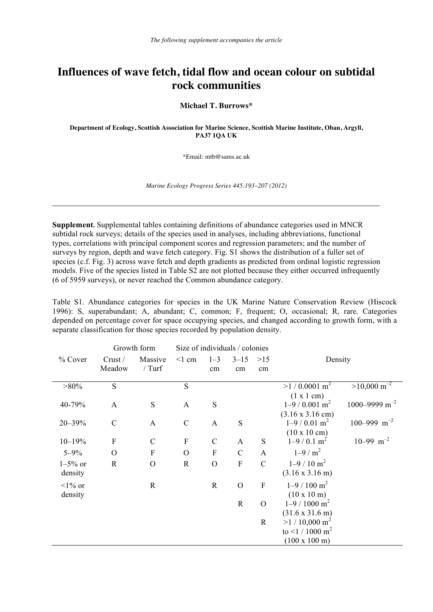## **Influences of wave fetch, tidal flow and ocean colour on subtidal rock communities**

**Michael T. Burrows\*** 

**Department of Ecology, Scottish Association for Marine Science, Scottish Marine Institute, Oban, Argyll, PA37 1QA UK** 

\*Email: mtb@sams.ac.uk

*Marine Ecology Progress Series 445:193–207 (2012)* 

**Supplement.** Supplemental tables containing definitions of abundance categories used in MNCR subtidal rock surveys; details of the species used in analyses, including abbreviations, functional types, correlations with principal component scores and regression parameters; and the number of surveys by region, depth and wave fetch category. Fig. S1 shows the distribution of a fuller set of species (c.f. Fig. 3) across wave fetch and depth gradients as predicted from ordinal logistic regression models. Five of the species listed in Table S2 are not plotted because they either occurred infrequently (6 of 5959 surveys), or never reached the Common abundance category.

Table S1. Abundance categories for species in the UK Marine Nature Conservation Review (Hiscock 1996): S, superabundant; A, abundant; C, common; F, frequent; O, occasional; R, rare. Categories depended on percentage cover for space occupying species, and changed according to growth form, with a separate classification for those species recorded by population density.

|              | Growth form   |                           |                           |               | Size of individuals / colonies |                  |                                   |                               |
|--------------|---------------|---------------------------|---------------------------|---------------|--------------------------------|------------------|-----------------------------------|-------------------------------|
| % Cover      | Crust /       | Massive                   | $\leq$ 1 cm               | $1 - 3$       | $3 - 15$                       | >15              | Density                           |                               |
|              | Meadow        | $/$ Turf                  |                           | cm            | cm                             | cm               |                                   |                               |
| $>80\%$      | S             |                           | S                         |               |                                |                  | $>1/0.0001$ m <sup>2</sup>        | $>10,000 \text{ m}^{-2}$      |
|              |               |                           |                           |               |                                |                  | (1 x 1 cm)                        |                               |
| 40-79%       | A             | S                         | $\mathbf{A}$              | S             |                                |                  | $1 - 9 / 0.001$ m <sup>2</sup>    | $1000 - 9999$ m <sup>-2</sup> |
|              |               |                           |                           |               |                                |                  | $(3.16 \times 3.16 \text{ cm})$   |                               |
| $20 - 39%$   | $\mathcal{C}$ | $\mathbf{A}$              | $\mathcal{C}$             | $\mathbf{A}$  | S                              |                  | $1 - 9 / 0.01$ m <sup>2</sup>     | 100-999 $m^{-2}$              |
|              |               |                           |                           |               |                                |                  | $(10 \times 10 \text{ cm})$       |                               |
| $10 - 19%$   | $\mathbf{F}$  | $\mathcal{C}$             | $\boldsymbol{\mathrm{F}}$ | $\mathcal{C}$ | A                              | S                | $1 - 9 / 0.1$ m <sup>2</sup>      | 10-99 $m^{-2}$                |
| $5 - 9\%$    | $\Omega$      | $\boldsymbol{\mathrm{F}}$ | $\Omega$                  | $\mathbf F$   | $\mathcal{C}$                  | $\mathbf{A}$     | $1 - 9/m^2$                       |                               |
| $1 - 5\%$ or | $\mathbb{R}$  | $\overline{O}$            | $\mathbf R$               | $\mathcal{O}$ | $\mathbf F$                    | $\mathcal{C}$    | $1 - 9 / 10$ m <sup>2</sup>       |                               |
| density      |               |                           |                           |               |                                |                  | $(3.16 \times 3.16 \text{ m})$    |                               |
| $1\%$ or     |               | $\mathbf R$               |                           | $\mathbf R$   | $\mathcal{O}$                  | $\boldsymbol{F}$ | $1 - 9 / 100$ m <sup>2</sup>      |                               |
| density      |               |                           |                           |               |                                |                  | $(10 \times 10 \text{ m})$        |                               |
|              |               |                           |                           |               | $\mathbf R$                    | $\overline{O}$   | $1 - 9 / 1000$ m <sup>2</sup>     |                               |
|              |               |                           |                           |               |                                |                  | $(31.6 \times 31.6 \text{ m})$    |                               |
|              |               |                           |                           |               |                                | $\mathbb{R}$     | $>1/10,000 \text{ m}^2$           |                               |
|              |               |                           |                           |               |                                |                  | to $\leq$ 1 / 1000 m <sup>2</sup> |                               |
|              |               |                           |                           |               |                                |                  | $(100 \times 100 \text{ m})$      |                               |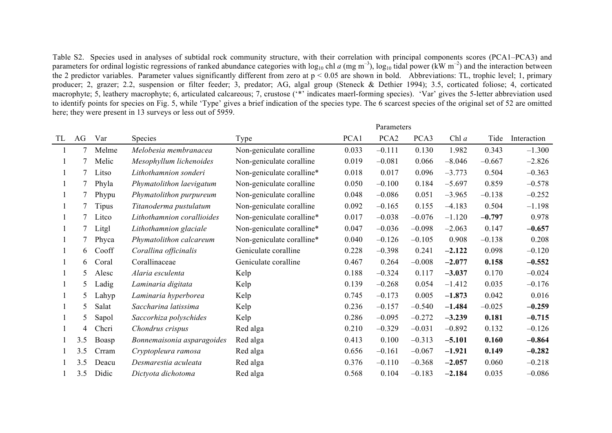Table S2. Species used in analyses of subtidal rock community structure, with their correlation with principal components scores (PCA1–PCA3) and parameters for ordinal logistic regressions of ranked abundance categories with  $\log_{10}$  chl *a* (mg m<sup>-3</sup>),  $\log_{10}$  tidal power (kW m<sup>-2</sup>) and the interaction between the 2 predictor variables. Parameter values significantly different from zero at  $p \le 0.05$  are shown in bold. Abbreviations: TL, trophic level; 1, primary producer; 2, grazer; 2.2, suspension or filter feeder; 3, predator; AG, algal group (Steneck & Dethier 1994); 3.5, corticated foliose; 4, corticated macrophyte; 5, leathery macrophyte; 6, articulated calcareous; 7, crustose (\*\*) indicates maerl-forming species). 'Var' gives the 5-letter abbreviation used to identify points for species on Fig. 5, while 'Type' gives a brief indication of the species type. The 6 scarcest species of the original set of 52 are omitted here; they were present in 13 surveys or less out of 5959.

|    |                      |       |                            |                           | Parameters |                  |          |          |          |             |
|----|----------------------|-------|----------------------------|---------------------------|------------|------------------|----------|----------|----------|-------------|
| TL | AG                   | Var   | <b>Species</b>             | Type                      | PCA1       | PCA <sub>2</sub> | PCA3     | Chl $a$  | Tide     | Interaction |
|    | 7                    | Melme | Melobesia membranacea      | Non-geniculate coralline  | 0.033      | $-0.111$         | 0.130    | 1.982    | 0.343    | $-1.300$    |
|    | 7                    | Melic | Mesophyllum lichenoides    | Non-geniculate coralline  | 0.019      | $-0.081$         | 0.066    | $-8.046$ | $-0.667$ | $-2.826$    |
|    | 7                    | Litso | Lithothamnion sonderi      | Non-geniculate coralline* | 0.018      | 0.017            | 0.096    | $-3.773$ | 0.504    | $-0.363$    |
|    |                      | Phyla | Phymatolithon laevigatum   | Non-geniculate coralline  | 0.050      | $-0.100$         | 0.184    | $-5.697$ | 0.859    | $-0.578$    |
|    | 7                    | Phypu | Phymatolithon purpureum    | Non-geniculate coralline  | 0.048      | $-0.086$         | 0.051    | $-3.965$ | $-0.138$ | $-0.252$    |
|    | $\frac{1}{\sqrt{2}}$ | Tipus | Titanoderma pustulatum     | Non-geniculate coralline  | 0.092      | $-0.165$         | 0.155    | $-4.183$ | 0.504    | $-1.198$    |
|    |                      | Litco | Lithothamnion corallioides | Non-geniculate coralline* | 0.017      | $-0.038$         | $-0.076$ | $-1.120$ | $-0.797$ | 0.978       |
|    | 7                    | Litgl | Lithothamnion glaciale     | Non-geniculate coralline* | 0.047      | $-0.036$         | $-0.098$ | $-2.063$ | 0.147    | $-0.657$    |
|    |                      | Phyca | Phymatolithon calcareum    | Non-geniculate coralline* | 0.040      | $-0.126$         | $-0.105$ | 0.908    | $-0.138$ | 0.208       |
|    | 6                    | Cooff | Corallina officinalis      | Geniculate coralline      | 0.228      | $-0.398$         | 0.241    | $-2.122$ | 0.098    | $-0.120$    |
|    | 6                    | Coral | Corallinaceae              | Geniculate coralline      | 0.467      | 0.264            | $-0.008$ | $-2.077$ | 0.158    | $-0.552$    |
|    | 5                    | Alesc | Alaria esculenta           | Kelp                      | 0.188      | $-0.324$         | 0.117    | $-3.037$ | 0.170    | $-0.024$    |
|    | $\mathcal{L}$        | Ladig | Laminaria digitata         | Kelp                      | 0.139      | $-0.268$         | 0.054    | $-1.412$ | 0.035    | $-0.176$    |
|    | 5                    | Lahyp | Laminaria hyperborea       | Kelp                      | 0.745      | $-0.173$         | 0.005    | $-1.873$ | 0.042    | 0.016       |
|    | 5                    | Salat | Saccharina latissima       | Kelp                      | 0.236      | $-0.157$         | $-0.540$ | $-1.484$ | $-0.025$ | $-0.259$    |
|    | 5                    | Sapol | Saccorhiza polyschides     | Kelp                      | 0.286      | $-0.095$         | $-0.272$ | $-3.239$ | 0.181    | $-0.715$    |
|    | 4                    | Cheri | Chondrus crispus           | Red alga                  | 0.210      | $-0.329$         | $-0.031$ | $-0.892$ | 0.132    | $-0.126$    |
|    | 3.5                  | Boasp | Bonnemaisonia asparagoides | Red alga                  | 0.413      | 0.100            | $-0.313$ | $-5.101$ | 0.160    | $-0.864$    |
|    | 3.5                  | Crram | Cryptopleura ramosa        | Red alga                  | 0.656      | $-0.161$         | $-0.067$ | $-1.921$ | 0.149    | $-0.282$    |
|    | 3.5                  | Deacu | Desmarestia aculeata       | Red alga                  | 0.376      | $-0.110$         | $-0.368$ | $-2.057$ | 0.060    | $-0.218$    |
|    | 3.5                  | Didic | Dictyota dichotoma         | Red alga                  | 0.568      | 0.104            | $-0.183$ | $-2.184$ | 0.035    | $-0.086$    |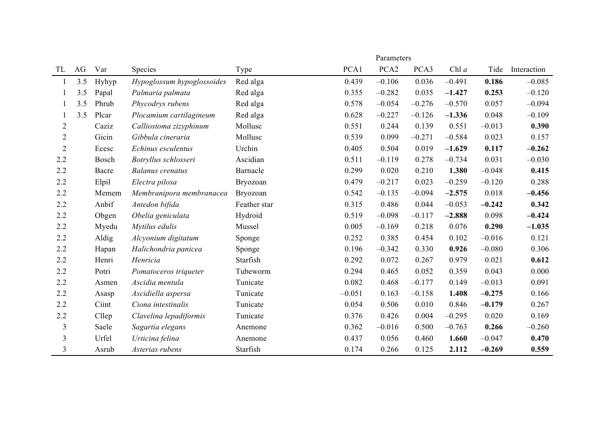|                |     |       |                            | Parameters   |          |                  |          |          |          |             |
|----------------|-----|-------|----------------------------|--------------|----------|------------------|----------|----------|----------|-------------|
| TL             | AG  | Var   | Species                    | Type         | PCA1     | PCA <sub>2</sub> | PCA3     | Chl $a$  | Tide     | Interaction |
|                | 3.5 | Hyhyp | Hypoglossum hypoglossoides | Red alga     | 0.439    | $-0.106$         | 0.036    | $-0.491$ | 0.186    | $-0.085$    |
| 1              | 3.5 | Papal | Palmaria palmata           | Red alga     | 0.355    | $-0.282$         | 0.035    | $-1.427$ | 0.253    | $-0.120$    |
|                | 3.5 | Phrub | Phycodrys rubens           | Red alga     | 0.578    | $-0.054$         | $-0.276$ | $-0.570$ | 0.057    | $-0.094$    |
|                | 3.5 | Plcar | Plocamium cartilagineum    | Red alga     | 0.628    | $-0.227$         | $-0.126$ | $-1.336$ | 0.048    | $-0.109$    |
| $\overline{2}$ |     | Caziz | Calliostoma zizyphinum     | Mollusc      | 0.551    | 0.244            | 0.139    | 0.551    | $-0.013$ | 0.390       |
| $\overline{2}$ |     | Gicin | Gibbula cineraria          | Mollusc      | 0.539    | 0.099            | $-0.271$ | $-0.584$ | 0.023    | 0.157       |
| $\overline{2}$ |     | Ecesc | Echinus esculentus         | Urchin       | 0.405    | 0.504            | 0.019    | $-1.629$ | 0.117    | $-0.262$    |
| 2.2            |     | Bosch | Botryllus schlosseri       | Ascidian     | 0.511    | $-0.119$         | 0.278    | $-0.734$ | 0.031    | $-0.030$    |
| 2.2            |     | Bacre | Balanus crenatus           | Barnacle     | 0.299    | 0.020            | 0.210    | 1.380    | $-0.048$ | 0.415       |
| 2.2            |     | Elpil | Electra pilosa             | Bryozoan     | 0.479    | $-0.217$         | 0.023    | $-0.259$ | $-0.120$ | 0.288       |
| 2.2            |     | Memem | Membranipora membranacea   | Bryozoan     | 0.542    | $-0.135$         | $-0.094$ | $-2.575$ | 0.018    | $-0.456$    |
| 2.2            |     | Anbif | Antedon bifida             | Feather star | 0.315    | 0.486            | 0.044    | $-0.053$ | $-0.242$ | 0.342       |
| 2.2            |     | Obgen | Obelia geniculata          | Hydroid      | 0.519    | $-0.098$         | $-0.117$ | $-2.888$ | 0.098    | $-0.424$    |
| 2.2            |     | Myedu | Mytilus edulis             | Mussel       | 0.005    | $-0.169$         | 0.218    | 0.076    | 0.290    | $-1.035$    |
| 2.2            |     | Aldig | Alcyonium digitatum        | Sponge       | 0.252    | 0.385            | 0.454    | 0.102    | $-0.016$ | 0.121       |
| 2.2            |     | Hapan | Halichondria panicea       | Sponge       | 0.196    | $-0.342$         | 0.330    | 0.926    | $-0.080$ | 0.306       |
| 2.2            |     | Henri | Henricia                   | Starfish     | 0.292    | 0.072            | 0.267    | 0.979    | 0.021    | 0.612       |
| 2.2            |     | Potri | Pomatoceros triqueter      | Tubeworm     | 0.294    | 0.465            | 0.052    | 0.359    | 0.043    | 0.000       |
| 2.2            |     | Asmen | Ascidia mentula            | Tunicate     | 0.082    | 0.468            | $-0.177$ | 0.149    | $-0.013$ | 0.091       |
| 2.2            |     | Asasp | Ascidiella aspersa         | Tunicate     | $-0.051$ | 0.163            | $-0.158$ | 1.408    | $-0.275$ | 0.166       |
| 2.2            |     | Ciint | Ciona intestinalis         | Tunicate     | 0.054    | 0.506            | 0.010    | 0.846    | $-0.179$ | 0.267       |
| 2.2            |     | Cllep | Clavelina lepadiformis     | Tunicate     | 0.376    | 0.426            | 0.004    | $-0.295$ | 0.020    | 0.169       |
| 3              |     | Saele | Sagartia elegans           | Anemone      | 0.362    | $-0.016$         | 0.500    | $-0.763$ | 0.266    | $-0.260$    |
| 3              |     | Urfel | Urticina felina            | Anemone      | 0.437    | 0.056            | 0.460    | 1.660    | $-0.047$ | 0.470       |
| 3              |     | Asrub | Asterias rubens            | Starfish     | 0.174    | 0.266            | 0.125    | 2.112    | $-0.269$ | 0.559       |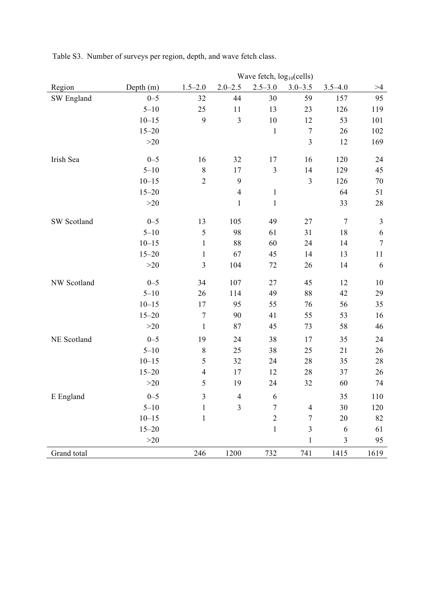|             |           |                  |                         | Wave fetch, log <sub>10</sub> (cells) |                         |                  |                  |
|-------------|-----------|------------------|-------------------------|---------------------------------------|-------------------------|------------------|------------------|
| Region      | Depth (m) | $1.5 - 2.0$      | $2.0 - 2.5$             | $2.5 - 3.0$                           | $3.0 - 3.5$             | $3.5 - 4.0$      | >4               |
| SW England  | $0 - 5$   | 32               | 44                      | 30                                    | 59                      | 157              | 95               |
|             | $5 - 10$  | 25               | 11                      | 13                                    | 23                      | 126              | 119              |
|             | $10 - 15$ | 9                | $\overline{\mathbf{3}}$ | 10                                    | 12                      | 53               | 101              |
|             | $15 - 20$ |                  |                         | $\mathbf{1}$                          | $\boldsymbol{7}$        | 26               | 102              |
|             | >20       |                  |                         |                                       | $\overline{\mathbf{3}}$ | 12               | 169              |
| Irish Sea   | $0 - 5$   | 16               | 32                      | 17                                    | 16                      | 120              | 24               |
|             | $5 - 10$  | $8\,$            | 17                      | $\mathfrak{Z}$                        | 14                      | 129              | 45               |
|             | $10 - 15$ | $\overline{2}$   | 9                       |                                       | $\overline{3}$          | 126              | 70               |
|             | $15 - 20$ |                  | $\overline{4}$          | $\mathbf{1}$                          |                         | 64               | 51               |
|             | >20       |                  | $\,1$                   | $\,1$                                 |                         | 33               | 28               |
| SW Scotland | $0 - 5$   | 13               | 105                     | 49                                    | 27                      | $\boldsymbol{7}$ | $\mathfrak{Z}$   |
|             | $5 - 10$  | 5                | 98                      | 61                                    | 31                      | 18               | $\boldsymbol{6}$ |
|             | $10 - 15$ | $\mathbf{1}$     | 88                      | 60                                    | 24                      | 14               | $\boldsymbol{7}$ |
|             | $15 - 20$ | $\mathbf{1}$     | 67                      | 45                                    | 14                      | 13               | 11               |
|             | $>20$     | $\mathfrak{Z}$   | 104                     | 72                                    | 26                      | 14               | 6                |
| NW Scotland | $0 - 5$   | 34               | 107                     | 27                                    | 45                      | 12               | 10               |
|             | $5 - 10$  | 26               | 114                     | 49                                    | 88                      | 42               | 29               |
|             | $10 - 15$ | 17               | 95                      | 55                                    | 76                      | 56               | 35               |
|             | $15 - 20$ | $\boldsymbol{7}$ | 90                      | 41                                    | 55                      | 53               | 16               |
|             | $>20$     | $\mathbf{1}$     | 87                      | 45                                    | 73                      | 58               | 46               |
| NE Scotland | $0 - 5$   | 19               | 24                      | 38                                    | 17                      | 35               | 24               |
|             | $5 - 10$  | $8\,$            | 25                      | 38                                    | 25                      | 21               | 26               |
|             | $10 - 15$ | 5                | 32                      | 24                                    | 28                      | 35               | 28               |
|             | $15 - 20$ | $\overline{4}$   | 17                      | 12                                    | 28                      | 37               | 26               |
|             | $>20$     | 5                | 19                      | 24                                    | 32                      | 60               | 74               |
| E England   | $0 - 5$   | 3                | 4                       | 6                                     |                         | 35               | 110              |
|             | $5 - 10$  | $\mathbf{1}$     | $\overline{3}$          | $\overline{7}$                        | 4                       | 30               | 120              |
|             | $10 - 15$ | $\mathbf{1}$     |                         | $\overline{c}$                        | 7                       | 20               | 82               |
|             | $15 - 20$ |                  |                         | $\,1$                                 | $\mathfrak{Z}$          | 6                | 61               |
|             | >20       |                  |                         |                                       | $\mathbf{1}$            | $\mathfrak{Z}$   | 95               |
| Grand total |           | 246              | 1200                    | 732                                   | 741                     | 1415             | 1619             |

Table S3. Number of surveys per region, depth, and wave fetch class.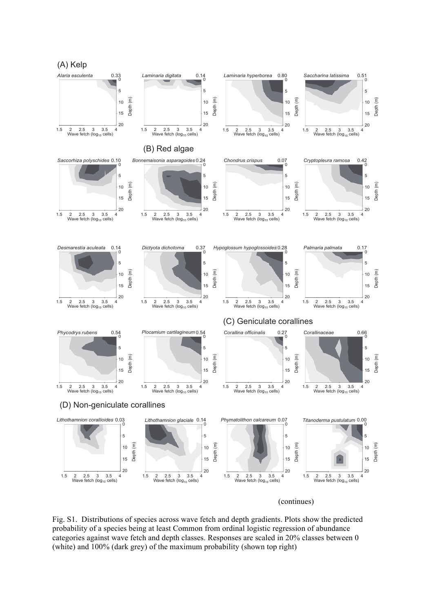

Fig. S1. Distributions of species across wave fetch and depth gradients. Plots show the predicted probability of a species being at least Common from ordinal logistic regression of abundance categories against wave fetch and depth classes. Responses are scaled in 20% classes between 0 (white) and 100% (dark grey) of the maximum probability (shown top right)